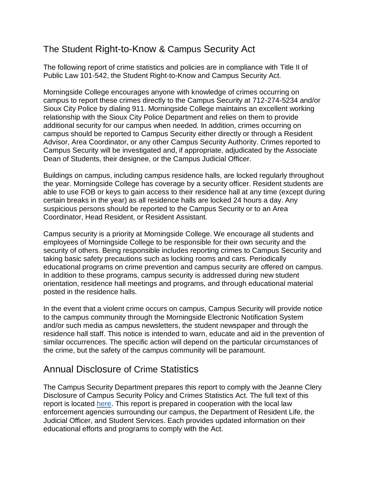## The Student Right-to-Know & Campus Security Act

The following report of crime statistics and policies are in compliance with Title II of Public Law 101-542, the Student Right-to-Know and Campus Security Act.

Morningside College encourages anyone with knowledge of crimes occurring on campus to report these crimes directly to the Campus Security at 712-274-5234 and/or Sioux City Police by dialing 911. Morningside College maintains an excellent working relationship with the Sioux City Police Department and relies on them to provide additional security for our campus when needed. In addition, crimes occurring on campus should be reported to Campus Security either directly or through a Resident Advisor, Area Coordinator, or any other Campus Security Authority. Crimes reported to Campus Security will be investigated and, if appropriate, adjudicated by the Associate Dean of Students, their designee, or the Campus Judicial Officer.

Buildings on campus, including campus residence halls, are locked regularly throughout the year. Morningside College has coverage by a security officer. Resident students are able to use FOB or keys to gain access to their residence hall at any time (except during certain breaks in the year) as all residence halls are locked 24 hours a day. Any suspicious persons should be reported to the Campus Security or to an Area Coordinator, Head Resident, or Resident Assistant.

Campus security is a priority at Morningside College. We encourage all students and employees of Morningside College to be responsible for their own security and the security of others. Being responsible includes reporting crimes to Campus Security and taking basic safety precautions such as locking rooms and cars. Periodically educational programs on crime prevention and campus security are offered on campus. In addition to these programs, campus security is addressed during new student orientation, residence hall meetings and programs, and through educational material posted in the residence halls.

In the event that a violent crime occurs on campus, Campus Security will provide notice to the campus community through the Morningside Electronic Notification System and/or such media as campus newsletters, the student newspaper and through the residence hall staff. This notice is intended to warn, educate and aid in the prevention of similar occurrences. The specific action will depend on the particular circumstances of the crime, but the safety of the campus community will be paramount.

## Annual Disclosure of Crime Statistics

The Campus Security Department prepares this report to comply with the Jeanne Clery Disclosure of Campus Security Policy and Crimes Statistics Act. The full text of this report is located [here.](https://www.morningside.edu/assets/uploads/general/2017_Annual_Security_and_Fire_Report.pdf) This report is prepared in cooperation with the local law enforcement agencies surrounding our campus, the Department of Resident Life, the Judicial Officer, and Student Services. Each provides updated information on their educational efforts and programs to comply with the Act.